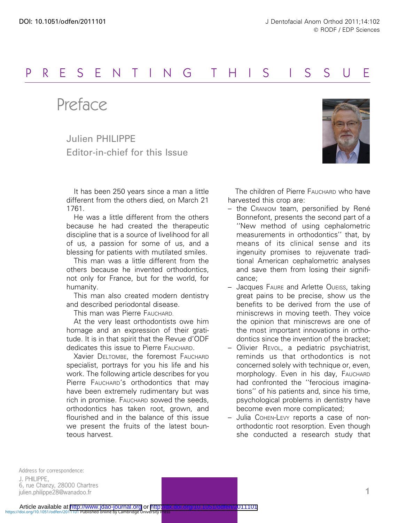## PRESENTING THIS I S SU E

Preface

Julien PHILIPPE Editor-in-chief for this Issue

It has been 250 years since a man a little different from the others died, on March 21 1761.

He was a little different from the others because he had created the therapeutic discipline that is a source of livelihood for all of us, a passion for some of us, and a blessing for patients with mutilated smiles.

This man was a little different from the others because he invented orthodontics, not only for France, but for the world, for humanity.

This man also created modern dentistry and described periodontal disease.

This man was Pierre FAUCHARD.

At the very least orthodontists owe him homage and an expression of their gratitude. It is in that spirit that the Revue d'ODF dedicates this issue to Pierre FAUCHARD.

Xavier DELTOMBE, the foremost FAUCHARD specialist, portrays for you his life and his work. The following article describes for you Pierre FAUCHARD's orthodontics that may have been extremely rudimentary but was rich in promise. FAUCHARD sowed the seeds, orthodontics has taken root, grown, and flourished and in the balance of this issue we present the fruits of the latest bounteous harvest.



The children of Pierre FAUCHARD who have harvested this crop are:

- $-$  the CRANIOM team, personified by René Bonnefont, presents the second part of a ''New method of using cephalometric measurements in orthodontics'' that, by means of its clinical sense and its ingenuity promises to rejuvenate traditional American cephalometric analyses and save them from losing their significance;
- Jacques FAURE and Arlette OUEISS, taking great pains to be precise, show us the benefits to be derived from the use of miniscrews in moving teeth. They voice the opinion that miniscrews are one of the most important innovations in orthodontics since the invention of the bracket;
- Olivier REVOL, a pediatric psychiatrist, reminds us that orthodontics is not concerned solely with technique or, even, morphology. Even in his day, FAUCHARD had confronted the ''ferocious imaginations'' of his patients and, since his time, psychological problems in dentistry have become even more complicated;
- Julia COHEN-LEVY reports a case of nonorthodontic root resorption. Even though she conducted a research study that

Address for correspondence: J. PHILIPPE, 6, rue Chanzy, 28000 Chartres julien.philippe28@wanadoo.fr